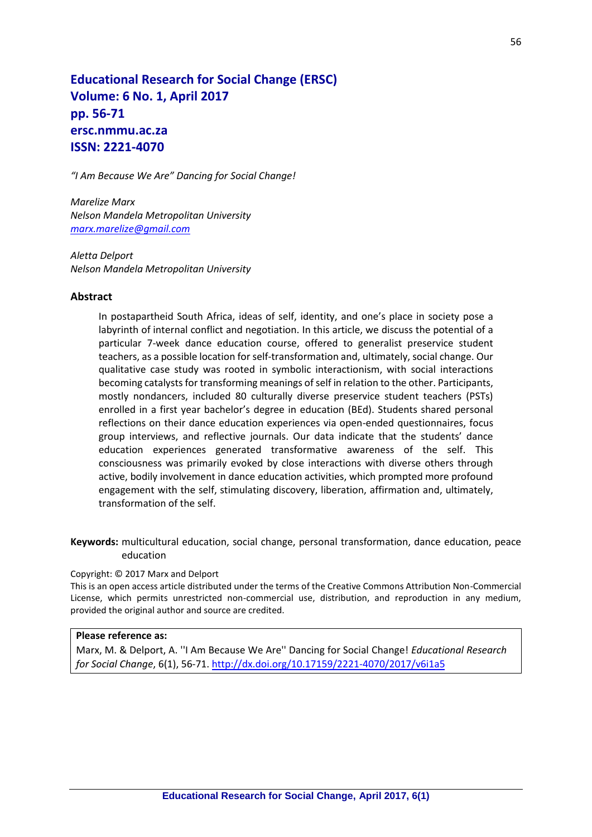# **Educational Research for Social Change (ERSC) Volume: 6 No. 1, April 2017 pp. 56-71 ersc.nmmu.ac.za ISSN: 2221-4070**

*"I Am Because We Are" Dancing for Social Change!*

*Marelize Marx Nelson Mandela Metropolitan University [marx.marelize@gmail.com](mailto:marx.marelize@gmail.com)*

*Aletta Delport Nelson Mandela Metropolitan University*

### **Abstract**

In postapartheid South Africa, ideas of self, identity, and one's place in society pose a labyrinth of internal conflict and negotiation. In this article, we discuss the potential of a particular 7-week dance education course, offered to generalist preservice student teachers, as a possible location for self-transformation and, ultimately, social change. Our qualitative case study was rooted in symbolic interactionism, with social interactions becoming catalysts for transforming meanings of self in relation to the other. Participants, mostly nondancers, included 80 culturally diverse preservice student teachers (PSTs) enrolled in a first year bachelor's degree in education (BEd). Students shared personal reflections on their dance education experiences via open-ended questionnaires, focus group interviews, and reflective journals. Our data indicate that the students' dance education experiences generated transformative awareness of the self. This consciousness was primarily evoked by close interactions with diverse others through active, bodily involvement in dance education activities, which prompted more profound engagement with the self, stimulating discovery, liberation, affirmation and, ultimately, transformation of the self.

**Keywords:** multicultural education, social change, personal transformation, dance education, peace education

#### Copyright: © 2017 Marx and Delport

This is an open access article distributed under the terms of the Creative Commons Attribution Non-Commercial License, which permits unrestricted non-commercial use, distribution, and reproduction in any medium, provided the original author and source are credited.

### **Please reference as:**

Marx, M. & Delport, A. ''I Am Because We Are'' Dancing for Social Change! *Educational Research for Social Change*, 6(1), 56[-71. http://dx.doi.org/10.17159/2221-4070/2017/v6i1](http://dx.doi.org/10.17159/2221-4070/2017/v6i1a5)a5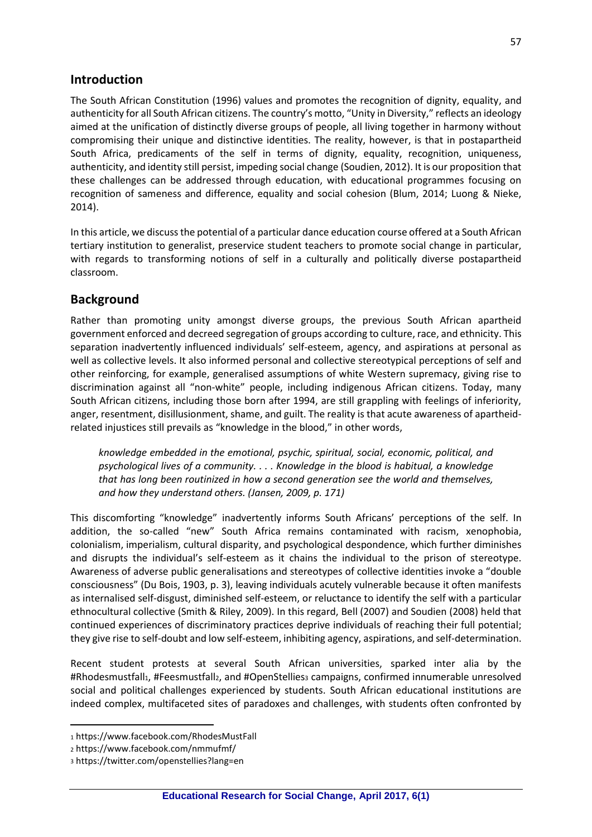## **Introduction**

The South African Constitution (1996) values and promotes the recognition of dignity, equality, and authenticity for all South African citizens. The country's motto, "Unity in Diversity," reflects an ideology aimed at the unification of distinctly diverse groups of people, all living together in harmony without compromising their unique and distinctive identities. The reality, however, is that in postapartheid South Africa, predicaments of the self in terms of dignity, equality, recognition, uniqueness, authenticity, and identity still persist, impeding social change (Soudien, 2012). It is our proposition that these challenges can be addressed through education, with educational programmes focusing on recognition of sameness and difference, equality and social cohesion (Blum, 2014; Luong & Nieke, 2014).

In this article, we discuss the potential of a particular dance education course offered at a South African tertiary institution to generalist, preservice student teachers to promote social change in particular, with regards to transforming notions of self in a culturally and politically diverse postapartheid classroom.

## **Background**

Rather than promoting unity amongst diverse groups, the previous South African apartheid government enforced and decreed segregation of groups according to culture, race, and ethnicity. This separation inadvertently influenced individuals' self-esteem, agency, and aspirations at personal as well as collective levels. It also informed personal and collective stereotypical perceptions of self and other reinforcing, for example, generalised assumptions of white Western supremacy, giving rise to discrimination against all "non-white" people, including indigenous African citizens. Today, many South African citizens, including those born after 1994, are still grappling with feelings of inferiority, anger, resentment, disillusionment, shame, and guilt. The reality is that acute awareness of apartheidrelated injustices still prevails as "knowledge in the blood," in other words,

*knowledge embedded in the emotional, psychic, spiritual, social, economic, political, and psychological lives of a community. . . . Knowledge in the blood is habitual, a knowledge that has long been routinized in how a second generation see the world and themselves, and how they understand others. (Jansen, 2009, p. 171)* 

This discomforting "knowledge" inadvertently informs South Africans' perceptions of the self. In addition, the so-called "new" South Africa remains contaminated with racism, xenophobia, colonialism, imperialism, cultural disparity, and psychological despondence, which further diminishes and disrupts the individual's self-esteem as it chains the individual to the prison of stereotype. Awareness of adverse public generalisations and stereotypes of collective identities invoke a "double consciousness" (Du Bois, 1903, p. 3), leaving individuals acutely vulnerable because it often manifests as internalised self-disgust, diminished self-esteem, or reluctance to identify the self with a particular ethnocultural collective (Smith & Riley, 2009). In this regard, Bell (2007) and Soudien (2008) held that continued experiences of discriminatory practices deprive individuals of reaching their full potential; they give rise to self-doubt and low self-esteem, inhibiting agency, aspirations, and self-determination.

Recent student protests at several South African universities, sparked inter alia by the #Rhodesmustfall1, #Feesmustfall2, and #OpenStellies3 campaigns, confirmed innumerable unresolved social and political challenges experienced by students. South African educational institutions are indeed complex, multifaceted sites of paradoxes and challenges, with students often confronted by

<sup>1</sup> https://www.facebook.com/RhodesMustFall

<sup>2</sup> https://www.facebook.com/nmmufmf/

<sup>3</sup> https://twitter.com/openstellies?lang=en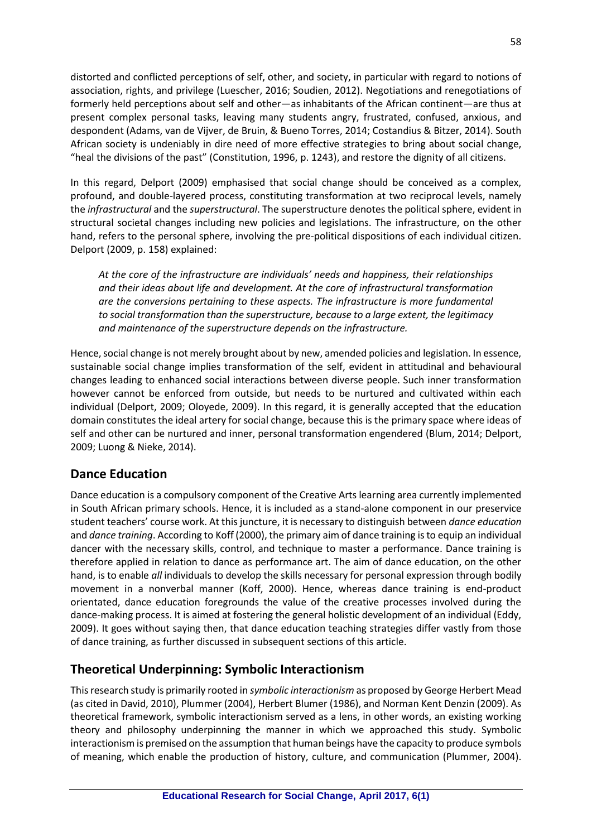distorted and conflicted perceptions of self, other, and society, in particular with regard to notions of association, rights, and privilege (Luescher, 2016; Soudien, 2012). Negotiations and renegotiations of formerly held perceptions about self and other—as inhabitants of the African continent—are thus at present complex personal tasks, leaving many students angry, frustrated, confused, anxious, and despondent (Adams, van de Vijver, de Bruin, & Bueno Torres, 2014; Costandius & Bitzer, 2014). South African society is undeniably in dire need of more effective strategies to bring about social change, "heal the divisions of the past" (Constitution, 1996, p. 1243), and restore the dignity of all citizens.

In this regard, Delport (2009) emphasised that social change should be conceived as a complex, profound, and double-layered process, constituting transformation at two reciprocal levels, namely the *infrastructural* and the *superstructural*. The superstructure denotes the political sphere, evident in structural societal changes including new policies and legislations. The infrastructure, on the other hand, refers to the personal sphere, involving the pre-political dispositions of each individual citizen. Delport (2009, p. 158) explained:

*At the core of the infrastructure are individuals' needs and happiness, their relationships and their ideas about life and development. At the core of infrastructural transformation are the conversions pertaining to these aspects. The infrastructure is more fundamental to social transformation than the superstructure, because to a large extent, the legitimacy and maintenance of the superstructure depends on the infrastructure.* 

Hence, social change is not merely brought about by new, amended policies and legislation. In essence, sustainable social change implies transformation of the self, evident in attitudinal and behavioural changes leading to enhanced social interactions between diverse people. Such inner transformation however cannot be enforced from outside, but needs to be nurtured and cultivated within each individual (Delport, 2009; Oloyede, 2009). In this regard, it is generally accepted that the education domain constitutes the ideal artery for social change, because this is the primary space where ideas of self and other can be nurtured and inner, personal transformation engendered (Blum, 2014; Delport, 2009; Luong & Nieke, 2014).

# **Dance Education**

Dance education is a compulsory component of the Creative Arts learning area currently implemented in South African primary schools. Hence, it is included as a stand-alone component in our preservice student teachers' course work. At this juncture, it is necessary to distinguish between *dance education* and *dance training*. According to Koff (2000), the primary aim of dance training is to equip an individual dancer with the necessary skills, control, and technique to master a performance. Dance training is therefore applied in relation to dance as performance art. The aim of dance education, on the other hand, is to enable *all* individuals to develop the skills necessary for personal expression through bodily movement in a nonverbal manner (Koff, 2000). Hence, whereas dance training is end-product orientated, dance education foregrounds the value of the creative processes involved during the dance-making process. It is aimed at fostering the general holistic development of an individual (Eddy, 2009). It goes without saying then, that dance education teaching strategies differ vastly from those of dance training, as further discussed in subsequent sections of this article.

# **Theoretical Underpinning: Symbolic Interactionism**

This research study is primarily rooted in *symbolic interactionism* as proposed by George Herbert Mead (as cited in David, 2010), Plummer (2004), Herbert Blumer (1986), and Norman Kent Denzin (2009). As theoretical framework, symbolic interactionism served as a lens, in other words, an existing working theory and philosophy underpinning the manner in which we approached this study. Symbolic interactionism is premised on the assumption that human beings have the capacity to produce symbols of meaning, which enable the production of history, culture, and communication (Plummer, 2004).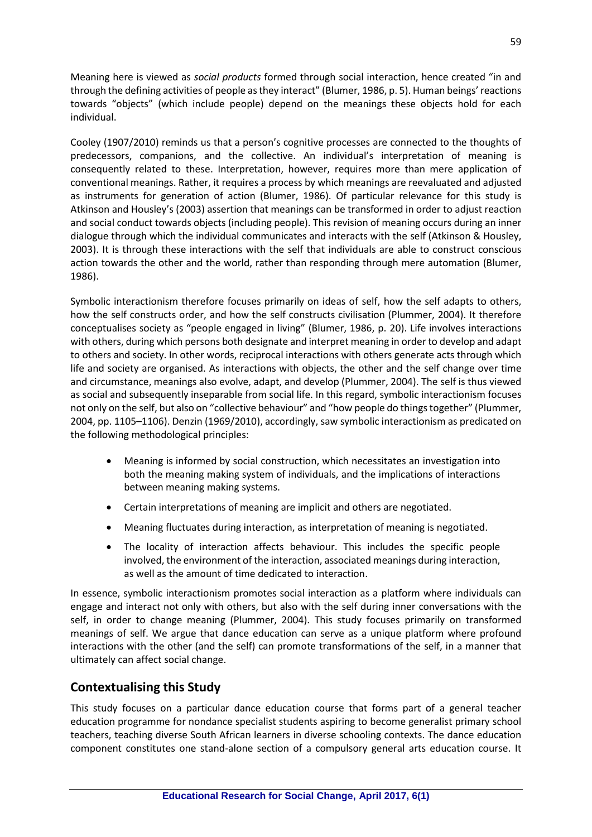Meaning here is viewed as *social products* formed through social interaction, hence created "in and through the defining activities of people as they interact" (Blumer, 1986, p. 5). Human beings' reactions towards "objects" (which include people) depend on the meanings these objects hold for each individual.

Cooley (1907/2010) reminds us that a person's cognitive processes are connected to the thoughts of predecessors, companions, and the collective. An individual's interpretation of meaning is consequently related to these. Interpretation, however, requires more than mere application of conventional meanings. Rather, it requires a process by which meanings are reevaluated and adjusted as instruments for generation of action (Blumer, 1986). Of particular relevance for this study is Atkinson and Housley's (2003) assertion that meanings can be transformed in order to adjust reaction and social conduct towards objects (including people). This revision of meaning occurs during an inner dialogue through which the individual communicates and interacts with the self (Atkinson & Housley, 2003). It is through these interactions with the self that individuals are able to construct conscious action towards the other and the world, rather than responding through mere automation (Blumer, 1986).

Symbolic interactionism therefore focuses primarily on ideas of self, how the self adapts to others, how the self constructs order, and how the self constructs civilisation (Plummer, 2004). It therefore conceptualises society as "people engaged in living" (Blumer, 1986, p. 20). Life involves interactions with others, during which persons both designate and interpret meaning in order to develop and adapt to others and society. In other words, reciprocal interactions with others generate acts through which life and society are organised. As interactions with objects, the other and the self change over time and circumstance, meanings also evolve, adapt, and develop (Plummer, 2004). The self is thus viewed as social and subsequently inseparable from social life. In this regard, symbolic interactionism focuses not only on the self, but also on "collective behaviour" and "how people do things together" (Plummer, 2004, pp. 1105–1106). Denzin (1969/2010), accordingly, saw symbolic interactionism as predicated on the following methodological principles:

- Meaning is informed by social construction, which necessitates an investigation into both the meaning making system of individuals, and the implications of interactions between meaning making systems.
- Certain interpretations of meaning are implicit and others are negotiated.
- Meaning fluctuates during interaction, as interpretation of meaning is negotiated.
- The locality of interaction affects behaviour. This includes the specific people involved, the environment of the interaction, associated meanings during interaction, as well as the amount of time dedicated to interaction.

In essence, symbolic interactionism promotes social interaction as a platform where individuals can engage and interact not only with others, but also with the self during inner conversations with the self, in order to change meaning (Plummer, 2004). This study focuses primarily on transformed meanings of self. We argue that dance education can serve as a unique platform where profound interactions with the other (and the self) can promote transformations of the self, in a manner that ultimately can affect social change.

# **Contextualising this Study**

This study focuses on a particular dance education course that forms part of a general teacher education programme for nondance specialist students aspiring to become generalist primary school teachers, teaching diverse South African learners in diverse schooling contexts. The dance education component constitutes one stand-alone section of a compulsory general arts education course. It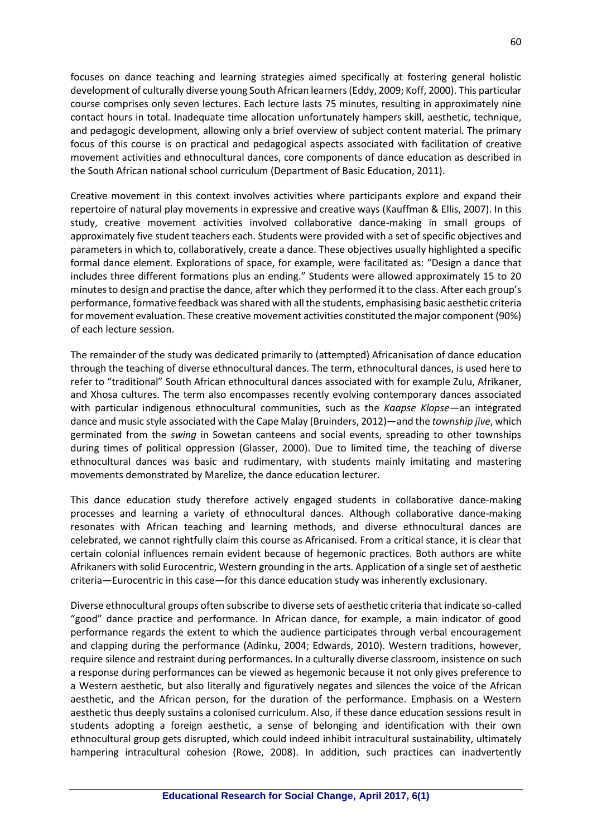focuses on dance teaching and learning strategies aimed specifically at fostering general holistic development of culturally diverse young South African learners (Eddy, 2009; Koff, 2000). This particular course comprises only seven lectures. Each lecture lasts 75 minutes, resulting in approximately nine contact hours in total. Inadequate time allocation unfortunately hampers skill, aesthetic, technique, and pedagogic development, allowing only a brief overview of subject content material. The primary focus of this course is on practical and pedagogical aspects associated with facilitation of creative movement activities and ethnocultural dances, core components of dance education as described in the South African national school curriculum (Department of Basic Education, 2011).

Creative movement in this context involves activities where participants explore and expand their repertoire of natural play movements in expressive and creative ways (Kauffman & Ellis, 2007). In this study, creative movement activities involved collaborative dance-making in small groups of approximately five student teachers each. Students were provided with a set of specific objectives and parameters in which to, collaboratively, create a dance. These objectives usually highlighted a specific formal dance element. Explorations of space, for example, were facilitated as: "Design a dance that includes three different formations plus an ending." Students were allowed approximately 15 to 20 minutes to design and practise the dance, after which they performed it to the class. After each group's performance, formative feedback was shared with all the students, emphasising basic aesthetic criteria for movement evaluation. These creative movement activities constituted the major component (90%) of each lecture session.

The remainder of the study was dedicated primarily to (attempted) Africanisation of dance education through the teaching of diverse ethnocultural dances. The term, ethnocultural dances, is used here to refer to "traditional" South African ethnocultural dances associated with for example Zulu, Afrikaner, and Xhosa cultures. The term also encompasses recently evolving contemporary dances associated with particular indigenous ethnocultural communities, such as the *Kaapse Klopse—*an integrated dance and music style associated with the Cape Malay (Bruinders, 2012)—and the *township jive*, which germinated from the *swing* in Sowetan canteens and social events, spreading to other townships during times of political oppression (Glasser, 2000). Due to limited time, the teaching of diverse ethnocultural dances was basic and rudimentary, with students mainly imitating and mastering movements demonstrated by Marelize, the dance education lecturer.

This dance education study therefore actively engaged students in collaborative dance-making processes and learning a variety of ethnocultural dances. Although collaborative dance-making resonates with African teaching and learning methods, and diverse ethnocultural dances are celebrated, we cannot rightfully claim this course as Africanised. From a critical stance, it is clear that certain colonial influences remain evident because of hegemonic practices. Both authors are white Afrikaners with solid Eurocentric, Western grounding in the arts. Application of a single set of aesthetic criteria—Eurocentric in this case—for this dance education study was inherently exclusionary.

Diverse ethnocultural groups often subscribe to diverse sets of aesthetic criteria that indicate so-called "good" dance practice and performance. In African dance, for example, a main indicator of good performance regards the extent to which the audience participates through verbal encouragement and clapping during the performance (Adinku, 2004; Edwards, 2010). Western traditions, however, require silence and restraint during performances. In a culturally diverse classroom, insistence on such a response during performances can be viewed as hegemonic because it not only gives preference to a Western aesthetic, but also literally and figuratively negates and silences the voice of the African aesthetic, and the African person, for the duration of the performance. Emphasis on a Western aesthetic thus deeply sustains a colonised curriculum. Also, if these dance education sessions result in students adopting a foreign aesthetic, a sense of belonging and identification with their own ethnocultural group gets disrupted, which could indeed inhibit intracultural sustainability, ultimately hampering intracultural cohesion (Rowe, 2008). In addition, such practices can inadvertently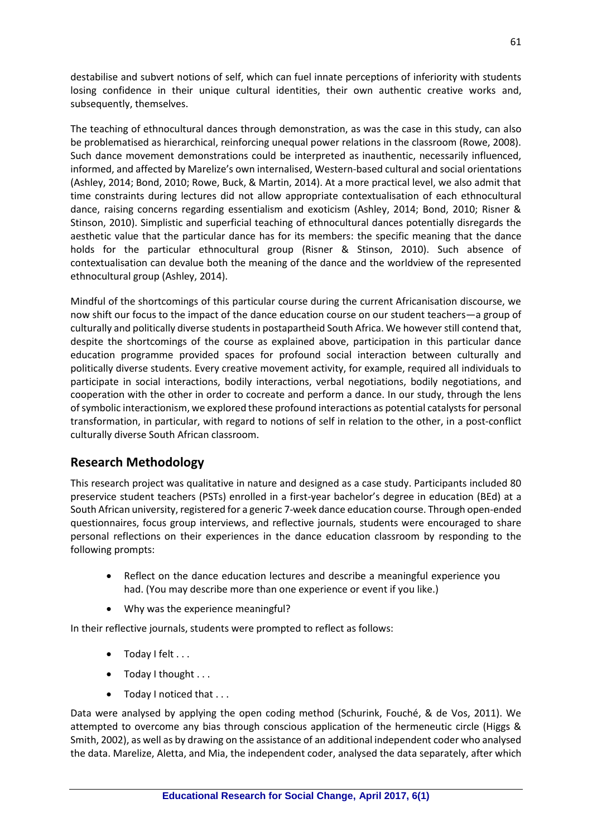destabilise and subvert notions of self, which can fuel innate perceptions of inferiority with students losing confidence in their unique cultural identities, their own authentic creative works and, subsequently, themselves.

The teaching of ethnocultural dances through demonstration, as was the case in this study, can also be problematised as hierarchical, reinforcing unequal power relations in the classroom (Rowe, 2008). Such dance movement demonstrations could be interpreted as inauthentic, necessarily influenced, informed, and affected by Marelize's own internalised, Western-based cultural and social orientations (Ashley, 2014; Bond, 2010; Rowe, Buck, & Martin, 2014). At a more practical level, we also admit that time constraints during lectures did not allow appropriate contextualisation of each ethnocultural dance, raising concerns regarding essentialism and exoticism (Ashley, 2014; Bond, 2010; Risner & Stinson, 2010). Simplistic and superficial teaching of ethnocultural dances potentially disregards the aesthetic value that the particular dance has for its members: the specific meaning that the dance holds for the particular ethnocultural group (Risner & Stinson, 2010). Such absence of contextualisation can devalue both the meaning of the dance and the worldview of the represented ethnocultural group (Ashley, 2014).

Mindful of the shortcomings of this particular course during the current Africanisation discourse, we now shift our focus to the impact of the dance education course on our student teachers—a group of culturally and politically diverse students in postapartheid South Africa. We however still contend that, despite the shortcomings of the course as explained above, participation in this particular dance education programme provided spaces for profound social interaction between culturally and politically diverse students. Every creative movement activity, for example, required all individuals to participate in social interactions, bodily interactions, verbal negotiations, bodily negotiations, and cooperation with the other in order to cocreate and perform a dance. In our study, through the lens of symbolic interactionism, we explored these profound interactions as potential catalysts for personal transformation, in particular, with regard to notions of self in relation to the other, in a post-conflict culturally diverse South African classroom.

# **Research Methodology**

This research project was qualitative in nature and designed as a case study. Participants included 80 preservice student teachers (PSTs) enrolled in a first-year bachelor's degree in education (BEd) at a South African university, registered for a generic 7-week dance education course. Through open-ended questionnaires, focus group interviews, and reflective journals, students were encouraged to share personal reflections on their experiences in the dance education classroom by responding to the following prompts:

- Reflect on the dance education lectures and describe a meaningful experience you had. (You may describe more than one experience or event if you like.)
- Why was the experience meaningful?

In their reflective journals, students were prompted to reflect as follows:

- Today I felt . . .
- $\bullet$  Today I thought  $\dots$
- Today I noticed that . . .

Data were analysed by applying the open coding method (Schurink, Fouché, & de Vos, 2011). We attempted to overcome any bias through conscious application of the hermeneutic circle (Higgs & Smith, 2002), as well as by drawing on the assistance of an additional independent coder who analysed the data. Marelize, Aletta, and Mia, the independent coder, analysed the data separately, after which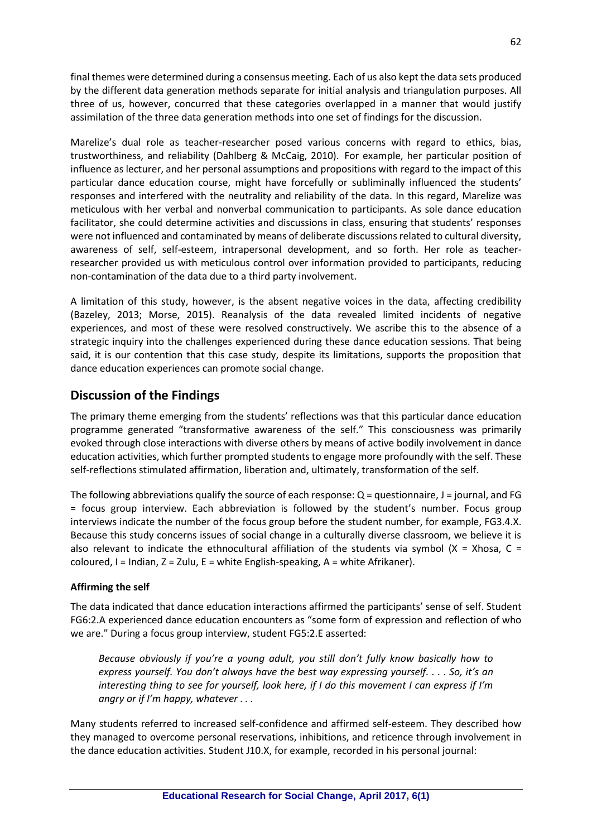final themes were determined during a consensus meeting. Each of us also kept the data sets produced by the different data generation methods separate for initial analysis and triangulation purposes. All three of us, however, concurred that these categories overlapped in a manner that would justify assimilation of the three data generation methods into one set of findings for the discussion.

Marelize's dual role as teacher-researcher posed various concerns with regard to ethics, bias, trustworthiness, and reliability (Dahlberg & McCaig, 2010). For example, her particular position of influence as lecturer, and her personal assumptions and propositions with regard to the impact of this particular dance education course, might have forcefully or subliminally influenced the students' responses and interfered with the neutrality and reliability of the data. In this regard, Marelize was meticulous with her verbal and nonverbal communication to participants. As sole dance education facilitator, she could determine activities and discussions in class, ensuring that students' responses were not influenced and contaminated by means of deliberate discussions related to cultural diversity, awareness of self, self-esteem, intrapersonal development, and so forth. Her role as teacherresearcher provided us with meticulous control over information provided to participants, reducing non-contamination of the data due to a third party involvement.

A limitation of this study, however, is the absent negative voices in the data, affecting credibility (Bazeley, 2013; Morse, 2015). Reanalysis of the data revealed limited incidents of negative experiences, and most of these were resolved constructively. We ascribe this to the absence of a strategic inquiry into the challenges experienced during these dance education sessions. That being said, it is our contention that this case study, despite its limitations, supports the proposition that dance education experiences can promote social change.

# **Discussion of the Findings**

The primary theme emerging from the students' reflections was that this particular dance education programme generated "transformative awareness of the self." This consciousness was primarily evoked through close interactions with diverse others by means of active bodily involvement in dance education activities, which further prompted students to engage more profoundly with the self. These self-reflections stimulated affirmation, liberation and, ultimately, transformation of the self.

The following abbreviations qualify the source of each response: Q = questionnaire, J = journal, and FG = focus group interview. Each abbreviation is followed by the student's number. Focus group interviews indicate the number of the focus group before the student number, for example, FG3.4.X. Because this study concerns issues of social change in a culturally diverse classroom, we believe it is also relevant to indicate the ethnocultural affiliation of the students via symbol  $(X = Xhosa, C =$ coloured, I = Indian,  $Z = Zulu$ ,  $E = white$  English-speaking,  $A = white$  Afrikaner).

## **Affirming the self**

The data indicated that dance education interactions affirmed the participants' sense of self. Student FG6:2.A experienced dance education encounters as "some form of expression and reflection of who we are." During a focus group interview, student FG5:2.E asserted:

*Because obviously if you're a young adult, you still don't fully know basically how to express yourself. You don't always have the best way expressing yourself. . . . So, it's an interesting thing to see for yourself, look here, if I do this movement I can express if I'm angry or if I'm happy, whatever . . .*

Many students referred to increased self-confidence and affirmed self-esteem. They described how they managed to overcome personal reservations, inhibitions, and reticence through involvement in the dance education activities. Student J10.X, for example, recorded in his personal journal: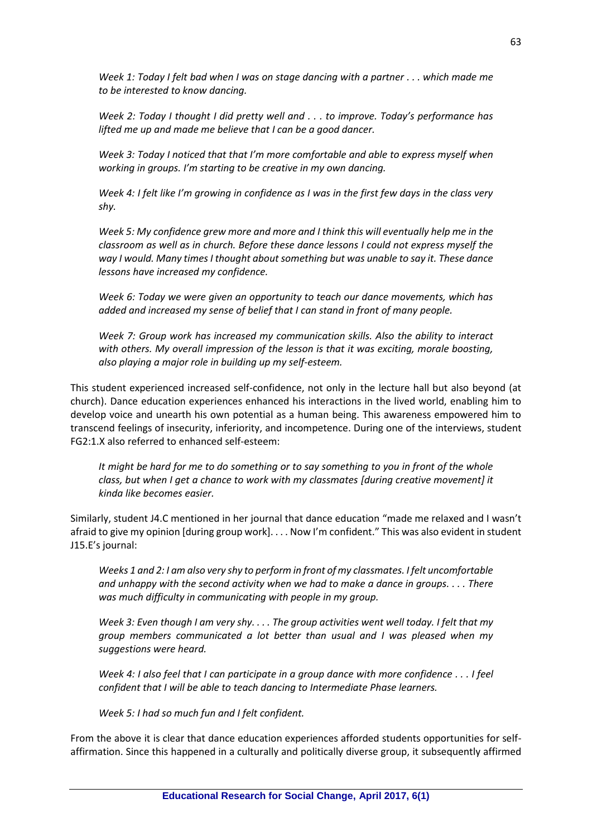*Week 1: Today I felt bad when I was on stage dancing with a partner . . . which made me to be interested to know dancing.*

*Week 2: Today I thought I did pretty well and . . . to improve. Today's performance has lifted me up and made me believe that I can be a good dancer.*

*Week 3: Today I noticed that that I'm more comfortable and able to express myself when working in groups. I'm starting to be creative in my own dancing.*

*Week 4: I felt like I'm growing in confidence as I was in the first few days in the class very shy.*

*Week 5: My confidence grew more and more and I think this will eventually help me in the classroom as well as in church. Before these dance lessons I could not express myself the way I would. Many times I thought about something but was unable to say it. These dance lessons have increased my confidence.*

*Week 6: Today we were given an opportunity to teach our dance movements, which has added and increased my sense of belief that I can stand in front of many people.*

*Week 7: Group work has increased my communication skills. Also the ability to interact with others. My overall impression of the lesson is that it was exciting, morale boosting, also playing a major role in building up my self-esteem.*

This student experienced increased self-confidence, not only in the lecture hall but also beyond (at church). Dance education experiences enhanced his interactions in the lived world, enabling him to develop voice and unearth his own potential as a human being. This awareness empowered him to transcend feelings of insecurity, inferiority, and incompetence. During one of the interviews, student FG2:1.X also referred to enhanced self-esteem:

*It might be hard for me to do something or to say something to you in front of the whole class, but when I get a chance to work with my classmates [during creative movement] it kinda like becomes easier.* 

Similarly, student J4.C mentioned in her journal that dance education "made me relaxed and I wasn't afraid to give my opinion [during group work]. . . . Now I'm confident." This was also evident in student J15.E's journal:

*Weeks 1 and 2: I am also very shy to perform in front of my classmates. I felt uncomfortable and unhappy with the second activity when we had to make a dance in groups. . . . There was much difficulty in communicating with people in my group.* 

*Week 3: Even though I am very shy. . . . The group activities went well today. I felt that my group members communicated a lot better than usual and I was pleased when my suggestions were heard.* 

*Week 4: I also feel that I can participate in a group dance with more confidence . . . I feel confident that I will be able to teach dancing to Intermediate Phase learners.*

*Week 5: I had so much fun and I felt confident.* 

From the above it is clear that dance education experiences afforded students opportunities for selfaffirmation. Since this happened in a culturally and politically diverse group, it subsequently affirmed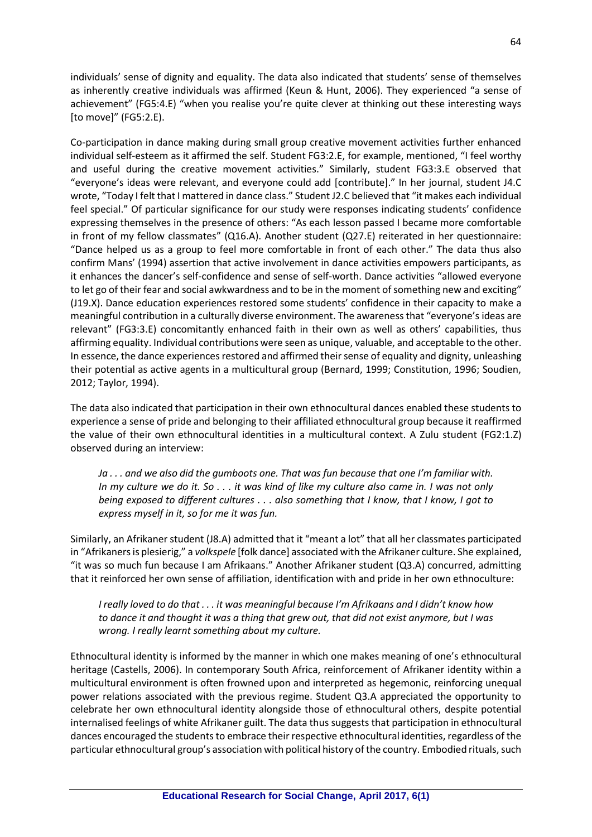individuals' sense of dignity and equality. The data also indicated that students' sense of themselves as inherently creative individuals was affirmed (Keun & Hunt, 2006). They experienced "a sense of achievement" (FG5:4.E) "when you realise you're quite clever at thinking out these interesting ways [to move]" (FG5:2.E).

Co-participation in dance making during small group creative movement activities further enhanced individual self-esteem as it affirmed the self. Student FG3:2.E, for example, mentioned, "I feel worthy and useful during the creative movement activities." Similarly, student FG3:3.E observed that "everyone's ideas were relevant, and everyone could add [contribute]." In her journal, student J4.C wrote, "Today I felt that I mattered in dance class." Student J2.C believed that "it makes each individual feel special." Of particular significance for our study were responses indicating students' confidence expressing themselves in the presence of others: "As each lesson passed I became more comfortable in front of my fellow classmates" (Q16.A). Another student (Q27.E) reiterated in her questionnaire: "Dance helped us as a group to feel more comfortable in front of each other." The data thus also confirm Mans' (1994) assertion that active involvement in dance activities empowers participants, as it enhances the dancer's self-confidence and sense of self-worth. Dance activities "allowed everyone to let go of their fear and social awkwardness and to be in the moment of something new and exciting" (J19.X). Dance education experiences restored some students' confidence in their capacity to make a meaningful contribution in a culturally diverse environment. The awareness that "everyone's ideas are relevant" (FG3:3.E) concomitantly enhanced faith in their own as well as others' capabilities, thus affirming equality. Individual contributions were seen as unique, valuable, and acceptable to the other. In essence, the dance experiences restored and affirmed their sense of equality and dignity, unleashing their potential as active agents in a multicultural group (Bernard, 1999; Constitution, 1996; Soudien, 2012; Taylor, 1994).

The data also indicated that participation in their own ethnocultural dances enabled these students to experience a sense of pride and belonging to their affiliated ethnocultural group because it reaffirmed the value of their own ethnocultural identities in a multicultural context. A Zulu student (FG2:1.Z) observed during an interview:

*Ja . . . and we also did the gumboots one. That was fun because that one I'm familiar with. In my culture we do it. So . . . it was kind of like my culture also came in. I was not only being exposed to different cultures . . . also something that I know, that I know, I got to express myself in it, so for me it was fun.*

Similarly, an Afrikaner student (J8.A) admitted that it "meant a lot" that all her classmates participated in "Afrikaners is plesierig," a *volkspele* [folk dance] associated with the Afrikaner culture. She explained, "it was so much fun because I am Afrikaans." Another Afrikaner student (Q3.A) concurred, admitting that it reinforced her own sense of affiliation, identification with and pride in her own ethnoculture:

*I really loved to do that . . . it was meaningful because I'm Afrikaans and I didn't know how to dance it and thought it was a thing that grew out, that did not exist anymore, but I was wrong. I really learnt something about my culture.*

Ethnocultural identity is informed by the manner in which one makes meaning of one's ethnocultural heritage (Castells, 2006). In contemporary South Africa, reinforcement of Afrikaner identity within a multicultural environment is often frowned upon and interpreted as hegemonic, reinforcing unequal power relations associated with the previous regime. Student Q3.A appreciated the opportunity to celebrate her own ethnocultural identity alongside those of ethnocultural others, despite potential internalised feelings of white Afrikaner guilt. The data thus suggests that participation in ethnocultural dances encouraged the students to embrace their respective ethnocultural identities, regardless of the particular ethnocultural group's association with political history of the country. Embodied rituals, such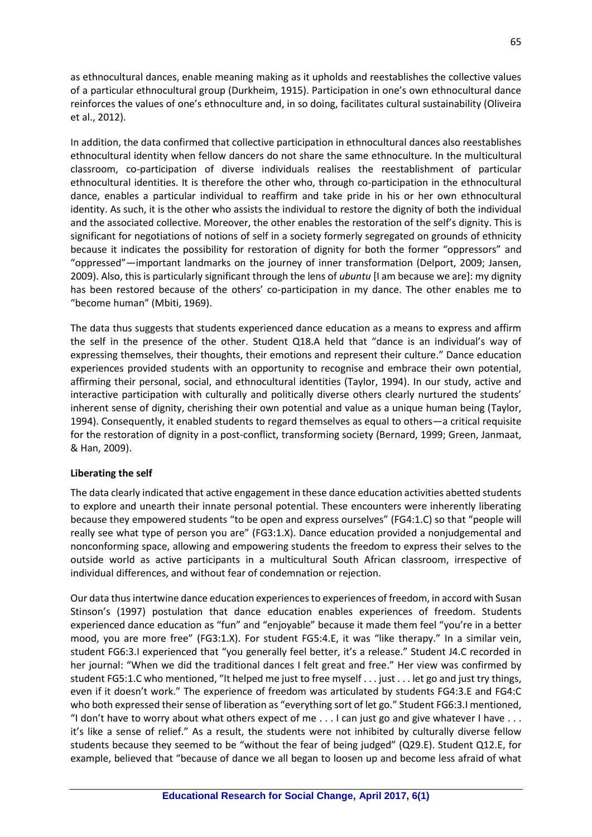as ethnocultural dances, enable meaning making as it upholds and reestablishes the collective values of a particular ethnocultural group (Durkheim, 1915). Participation in one's own ethnocultural dance reinforces the values of one's ethnoculture and, in so doing, facilitates cultural sustainability (Oliveira et al., 2012).

In addition, the data confirmed that collective participation in ethnocultural dances also reestablishes ethnocultural identity when fellow dancers do not share the same ethnoculture. In the multicultural classroom, co-participation of diverse individuals realises the reestablishment of particular ethnocultural identities. It is therefore the other who, through co-participation in the ethnocultural dance, enables a particular individual to reaffirm and take pride in his or her own ethnocultural identity. As such, it is the other who assists the individual to restore the dignity of both the individual and the associated collective. Moreover, the other enables the restoration of the self's dignity. This is significant for negotiations of notions of self in a society formerly segregated on grounds of ethnicity because it indicates the possibility for restoration of dignity for both the former "oppressors" and "oppressed"—important landmarks on the journey of inner transformation (Delport, 2009; Jansen, 2009). Also, this is particularly significant through the lens of *ubuntu* [I am because we are]: my dignity has been restored because of the others' co-participation in my dance. The other enables me to "become human" (Mbiti, 1969).

The data thus suggests that students experienced dance education as a means to express and affirm the self in the presence of the other. Student Q18.A held that "dance is an individual's way of expressing themselves, their thoughts, their emotions and represent their culture." Dance education experiences provided students with an opportunity to recognise and embrace their own potential, affirming their personal, social, and ethnocultural identities (Taylor, 1994). In our study, active and interactive participation with culturally and politically diverse others clearly nurtured the students' inherent sense of dignity, cherishing their own potential and value as a unique human being (Taylor, 1994). Consequently, it enabled students to regard themselves as equal to others—a critical requisite for the restoration of dignity in a post-conflict, transforming society (Bernard, 1999; Green, Janmaat, & Han, 2009).

### **Liberating the self**

The data clearly indicated that active engagement in these dance education activities abetted students to explore and unearth their innate personal potential. These encounters were inherently liberating because they empowered students "to be open and express ourselves" (FG4:1.C) so that "people will really see what type of person you are" (FG3:1.X). Dance education provided a nonjudgemental and nonconforming space, allowing and empowering students the freedom to express their selves to the outside world as active participants in a multicultural South African classroom, irrespective of individual differences, and without fear of condemnation or rejection.

Our data thus intertwine dance education experiences to experiences of freedom, in accord with Susan Stinson's (1997) postulation that dance education enables experiences of freedom. Students experienced dance education as "fun" and "enjoyable" because it made them feel "you're in a better mood, you are more free" (FG3:1.X). For student FG5:4.E, it was "like therapy." In a similar vein, student FG6:3.I experienced that "you generally feel better, it's a release." Student J4.C recorded in her journal: "When we did the traditional dances I felt great and free." Her view was confirmed by student FG5:1.C who mentioned, "It helped me just to free myself . . . just . . . let go and just try things, even if it doesn't work." The experience of freedom was articulated by students FG4:3.E and FG4:C who both expressed their sense of liberation as "everything sort of let go." Student FG6:3.I mentioned, "I don't have to worry about what others expect of me  $\dots$  I can just go and give whatever I have  $\dots$ it's like a sense of relief." As a result, the students were not inhibited by culturally diverse fellow students because they seemed to be "without the fear of being judged" (Q29.E). Student Q12.E, for example, believed that "because of dance we all began to loosen up and become less afraid of what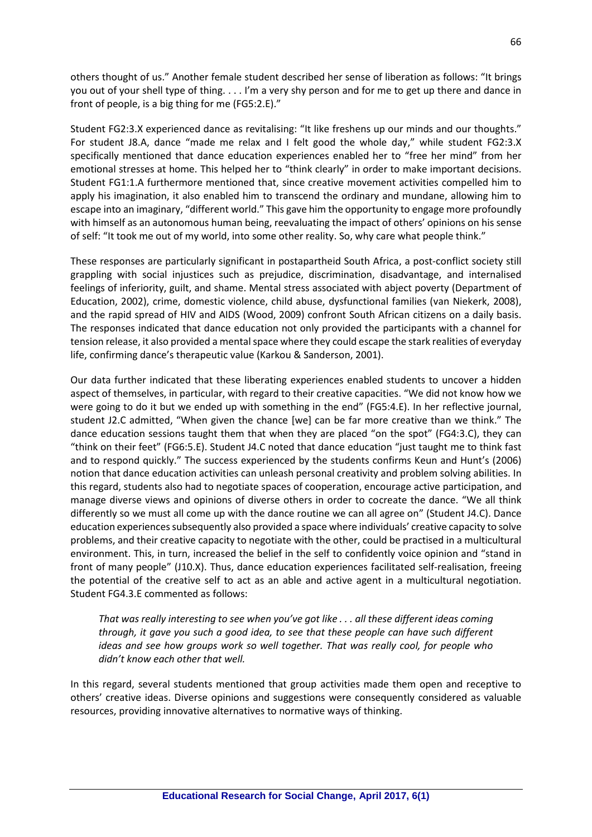others thought of us." Another female student described her sense of liberation as follows: "It brings you out of your shell type of thing. . . . I'm a very shy person and for me to get up there and dance in front of people, is a big thing for me (FG5:2.E)."

Student FG2:3.X experienced dance as revitalising: "It like freshens up our minds and our thoughts." For student J8.A, dance "made me relax and I felt good the whole day," while student FG2:3.X specifically mentioned that dance education experiences enabled her to "free her mind" from her emotional stresses at home. This helped her to "think clearly" in order to make important decisions. Student FG1:1.A furthermore mentioned that, since creative movement activities compelled him to apply his imagination, it also enabled him to transcend the ordinary and mundane, allowing him to escape into an imaginary, "different world." This gave him the opportunity to engage more profoundly with himself as an autonomous human being, reevaluating the impact of others' opinions on his sense of self: "It took me out of my world, into some other reality. So, why care what people think."

These responses are particularly significant in postapartheid South Africa, a post-conflict society still grappling with social injustices such as prejudice, discrimination, disadvantage, and internalised feelings of inferiority, guilt, and shame. Mental stress associated with abject poverty (Department of Education, 2002), crime, domestic violence, child abuse, dysfunctional families (van Niekerk, 2008), and the rapid spread of HIV and AIDS (Wood, 2009) confront South African citizens on a daily basis. The responses indicated that dance education not only provided the participants with a channel for tension release, it also provided a mental space where they could escape the stark realities of everyday life, confirming dance's therapeutic value (Karkou & Sanderson, 2001).

Our data further indicated that these liberating experiences enabled students to uncover a hidden aspect of themselves, in particular, with regard to their creative capacities. "We did not know how we were going to do it but we ended up with something in the end" (FG5:4.E). In her reflective journal, student J2.C admitted, "When given the chance [we] can be far more creative than we think." The dance education sessions taught them that when they are placed "on the spot" (FG4:3.C), they can "think on their feet" (FG6:5.E). Student J4.C noted that dance education "just taught me to think fast and to respond quickly." The success experienced by the students confirms Keun and Hunt's (2006) notion that dance education activities can unleash personal creativity and problem solving abilities. In this regard, students also had to negotiate spaces of cooperation, encourage active participation, and manage diverse views and opinions of diverse others in order to cocreate the dance. "We all think differently so we must all come up with the dance routine we can all agree on" (Student J4.C). Dance education experiences subsequently also provided a space where individuals' creative capacity to solve problems, and their creative capacity to negotiate with the other, could be practised in a multicultural environment. This, in turn, increased the belief in the self to confidently voice opinion and "stand in front of many people" (J10.X). Thus, dance education experiences facilitated self-realisation, freeing the potential of the creative self to act as an able and active agent in a multicultural negotiation. Student FG4.3.E commented as follows:

*That was really interesting to see when you've got like . . . all these different ideas coming through, it gave you such a good idea, to see that these people can have such different ideas and see how groups work so well together. That was really cool, for people who didn't know each other that well.*

In this regard, several students mentioned that group activities made them open and receptive to others' creative ideas. Diverse opinions and suggestions were consequently considered as valuable resources, providing innovative alternatives to normative ways of thinking.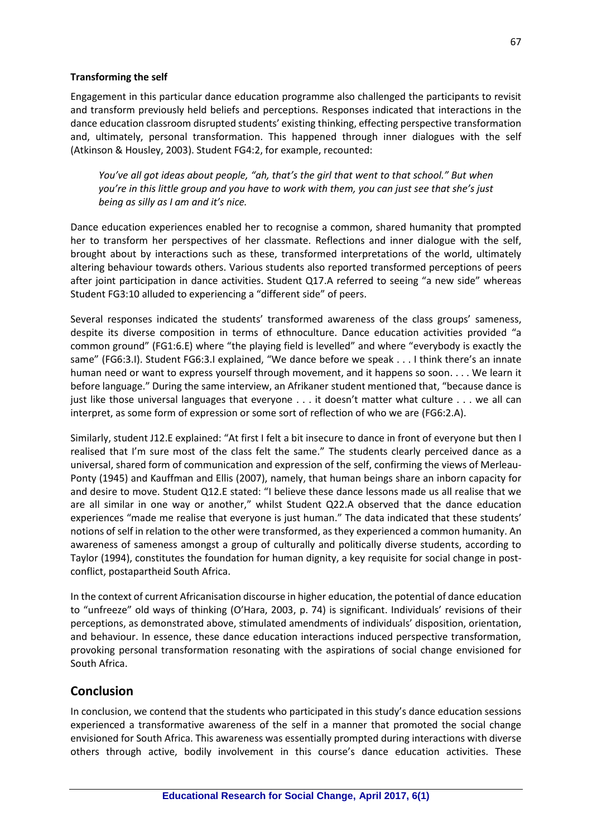### **Transforming the self**

Engagement in this particular dance education programme also challenged the participants to revisit and transform previously held beliefs and perceptions. Responses indicated that interactions in the dance education classroom disrupted students' existing thinking, effecting perspective transformation and, ultimately, personal transformation. This happened through inner dialogues with the self (Atkinson & Housley, 2003). Student FG4:2, for example, recounted:

*You've all got ideas about people, "ah, that's the girl that went to that school." But when you're in this little group and you have to work with them, you can just see that she's just being as silly as I am and it's nice.*

Dance education experiences enabled her to recognise a common, shared humanity that prompted her to transform her perspectives of her classmate. Reflections and inner dialogue with the self, brought about by interactions such as these, transformed interpretations of the world, ultimately altering behaviour towards others. Various students also reported transformed perceptions of peers after joint participation in dance activities. Student Q17.A referred to seeing "a new side" whereas Student FG3:10 alluded to experiencing a "different side" of peers.

Several responses indicated the students' transformed awareness of the class groups' sameness, despite its diverse composition in terms of ethnoculture. Dance education activities provided "a common ground" (FG1:6.E) where "the playing field is levelled" and where "everybody is exactly the same" (FG6:3.I). Student FG6:3.I explained, "We dance before we speak . . . I think there's an innate human need or want to express yourself through movement, and it happens so soon. . . . We learn it before language." During the same interview, an Afrikaner student mentioned that, "because dance is just like those universal languages that everyone . . . it doesn't matter what culture . . . we all can interpret, as some form of expression or some sort of reflection of who we are (FG6:2.A).

Similarly, student J12.E explained: "At first I felt a bit insecure to dance in front of everyone but then I realised that I'm sure most of the class felt the same." The students clearly perceived dance as a universal, shared form of communication and expression of the self, confirming the views of Merleau-Ponty (1945) and Kauffman and Ellis (2007), namely, that human beings share an inborn capacity for and desire to move. Student Q12.E stated: "I believe these dance lessons made us all realise that we are all similar in one way or another," whilst Student Q22.A observed that the dance education experiences "made me realise that everyone is just human." The data indicated that these students' notions of self in relation to the other were transformed, as they experienced a common humanity. An awareness of sameness amongst a group of culturally and politically diverse students, according to Taylor (1994), constitutes the foundation for human dignity, a key requisite for social change in postconflict, postapartheid South Africa.

In the context of current Africanisation discourse in higher education, the potential of dance education to "unfreeze" old ways of thinking (O'Hara, 2003, p. 74) is significant. Individuals' revisions of their perceptions, as demonstrated above, stimulated amendments of individuals' disposition, orientation, and behaviour. In essence, these dance education interactions induced perspective transformation, provoking personal transformation resonating with the aspirations of social change envisioned for South Africa.

# **Conclusion**

In conclusion, we contend that the students who participated in this study's dance education sessions experienced a transformative awareness of the self in a manner that promoted the social change envisioned for South Africa. This awareness was essentially prompted during interactions with diverse others through active, bodily involvement in this course's dance education activities. These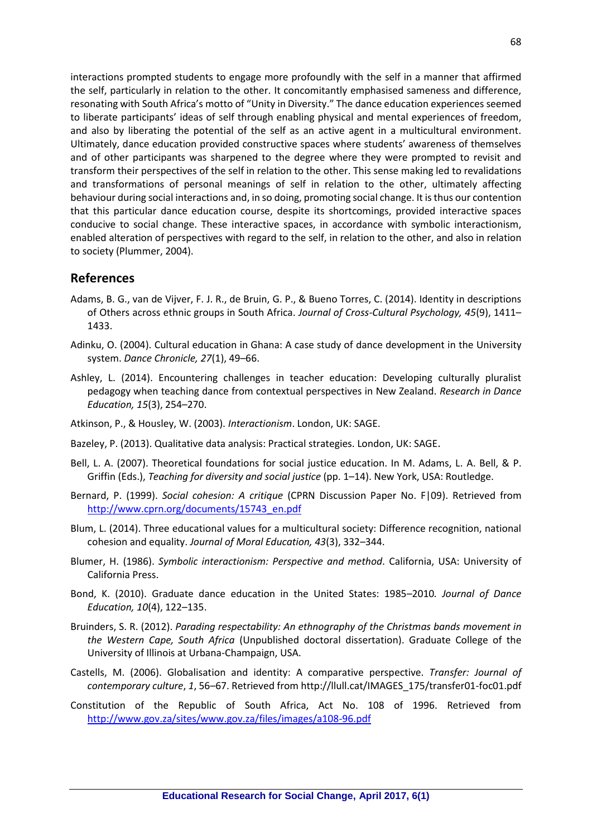interactions prompted students to engage more profoundly with the self in a manner that affirmed the self, particularly in relation to the other. It concomitantly emphasised sameness and difference, resonating with South Africa's motto of "Unity in Diversity." The dance education experiences seemed to liberate participants' ideas of self through enabling physical and mental experiences of freedom, and also by liberating the potential of the self as an active agent in a multicultural environment. Ultimately, dance education provided constructive spaces where students' awareness of themselves and of other participants was sharpened to the degree where they were prompted to revisit and transform their perspectives of the self in relation to the other. This sense making led to revalidations and transformations of personal meanings of self in relation to the other, ultimately affecting behaviour during social interactions and, in so doing, promoting social change. It is thus our contention that this particular dance education course, despite its shortcomings, provided interactive spaces conducive to social change. These interactive spaces, in accordance with symbolic interactionism, enabled alteration of perspectives with regard to the self, in relation to the other, and also in relation to society (Plummer, 2004).

### **References**

- Adams, B. G., van de Vijver, F. J. R., de Bruin, G. P., & Bueno Torres, C. (2014). Identity in descriptions of Others across ethnic groups in South Africa. *Journal of Cross-Cultural Psychology, 45*(9), 1411– 1433.
- Adinku, O. (2004). Cultural education in Ghana: A case study of dance development in the University system. *Dance Chronicle, 27*(1), 49–66.
- Ashley, L. (2014). Encountering challenges in teacher education: Developing culturally pluralist pedagogy when teaching dance from contextual perspectives in New Zealand. *Research in Dance Education, 15*(3), 254–270.
- Atkinson, P., & Housley, W. (2003). *Interactionism*. London, UK: SAGE.
- Bazeley, P. (2013). Qualitative data analysis: Practical strategies. London, UK: SAGE.
- Bell, L. A. (2007). Theoretical foundations for social justice education. In M. Adams, L. A. Bell, & P. Griffin (Eds.), *Teaching for diversity and social justice* (pp. 1–14). New York, USA: Routledge.
- Bernard, P. (1999). *Social cohesion: A critique* (CPRN Discussion Paper No. F|09). Retrieved from [http://www.cprn.org/documents/15743\\_en.pdf](http://www.cprn.org/documents/15743_en.pdf)
- Blum, L. (2014). Three educational values for a multicultural society: Difference recognition, national cohesion and equality. *Journal of Moral Education, 43*(3), 332–344.
- Blumer, H. (1986). *Symbolic interactionism: Perspective and method*. California, USA: University of California Press.
- Bond, K. (2010). Graduate dance education in the United States: 1985–2010*. Journal of Dance Education, 10*(4), 122–135.
- Bruinders, S. R. (2012). *Parading respectability: An ethnography of the Christmas bands movement in the Western Cape, South Africa* (Unpublished doctoral dissertation). Graduate College of the University of Illinois at Urbana-Champaign, USA.
- Castells, M. (2006). Globalisation and identity: A comparative perspective. *Transfer: Journal of contemporary culture*, *1*, 56–67. Retrieved from http://llull.cat/IMAGES\_175/transfer01-foc01.pdf
- Constitution of the Republic of South Africa, Act No. 108 of 1996. Retrieved from <http://www.gov.za/sites/www.gov.za/files/images/a108-96.pdf>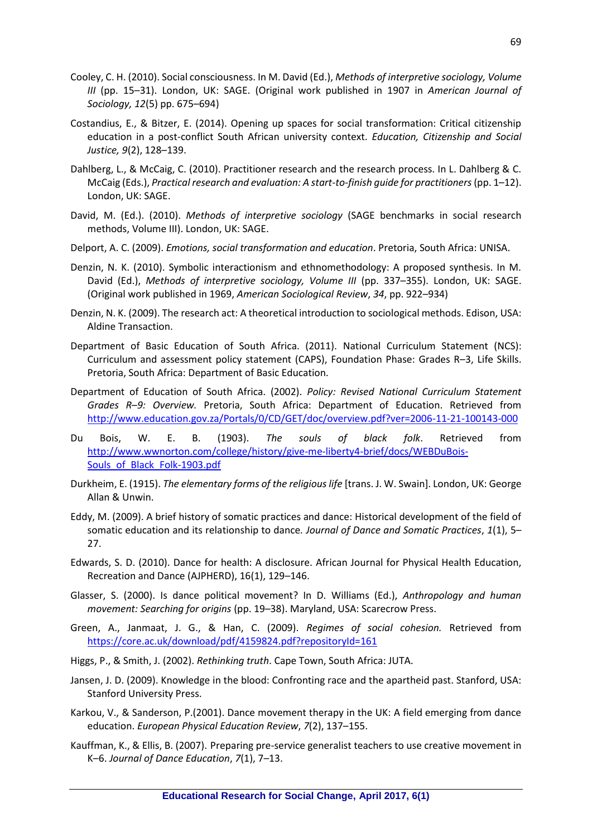- Cooley, C. H. (2010). Social consciousness. In M. David (Ed.), *Methods of interpretive sociology, Volume III* (pp. 15–31). London, UK: SAGE. (Original work published in 1907 in *American Journal of Sociology, 12*(5) pp. 675–694)
- Costandius, E., & Bitzer, E. (2014). Opening up spaces for social transformation: Critical citizenship education in a post-conflict South African university context. *Education, Citizenship and Social Justice, 9*(2), 128–139.
- Dahlberg, L., & McCaig, C. (2010). Practitioner research and the research process. In L. Dahlberg & C. McCaig (Eds.), *Practical research and evaluation: A start-to-finish guide for practitioners*(pp. 1–12). London, UK: SAGE.
- David, M. (Ed.). (2010). *Methods of interpretive sociology* (SAGE benchmarks in social research methods, Volume III). London, UK: SAGE.
- Delport, A. C. (2009). *Emotions, social transformation and education*. Pretoria, South Africa: UNISA.
- Denzin, N. K. (2010). Symbolic interactionism and ethnomethodology: A proposed synthesis. In M. David (Ed.), *Methods of interpretive sociology, Volume III* (pp. 337–355). London, UK: SAGE. (Original work published in 1969, *American Sociological Review*, *34*, pp. 922–934)
- Denzin, N. K. (2009). The research act: A theoretical introduction to sociological methods. Edison, USA: Aldine Transaction.
- Department of Basic Education of South Africa. (2011). National Curriculum Statement (NCS): Curriculum and assessment policy statement (CAPS), Foundation Phase: Grades R–3, Life Skills. Pretoria, South Africa: Department of Basic Education.
- Department of Education of South Africa. (2002). *Policy: Revised National Curriculum Statement Grades R*–*9: Overview.* Pretoria, South Africa: Department of Education. Retrieved from <http://www.education.gov.za/Portals/0/CD/GET/doc/overview.pdf?ver=2006-11-21-100143-000>
- Du Bois, W. E. B. (1903). *The souls of black folk*. Retrieved from [http://www.wwnorton.com/college/history/give-me-liberty4-brief/docs/WEBDuBois-](http://www.wwnorton.com/college/history/give-me-liberty4-brief/docs/WEBDuBois-Souls_of_Black_Folk-1903.pdf)Souls of Black Folk-1903.pdf
- Durkheim, E. (1915). *The elementary forms of the religious life* [trans. J. W. Swain]. London, UK: George Allan & Unwin.
- Eddy, M. (2009). A brief history of somatic practices and dance: Historical development of the field of somatic education and its relationship to dance*. Journal of Dance and Somatic Practices*, *1*(1), 5– 27.
- Edwards, S. D. (2010). Dance for health: A disclosure. African Journal for Physical Health Education, Recreation and Dance (AJPHERD), 16(1), 129–146.
- Glasser, S. (2000). Is dance political movement? In D. Williams (Ed.), *Anthropology and human movement: Searching for origins* (pp. 19–38). Maryland, USA: Scarecrow Press.
- Green, A., Janmaat, J. G., & Han, C. (2009). *Regimes of social cohesion.* Retrieved from <https://core.ac.uk/download/pdf/4159824.pdf?repositoryId=161>
- Higgs, P., & Smith, J. (2002). *Rethinking truth*. Cape Town, South Africa: JUTA.
- Jansen, J. D. (2009). Knowledge in the blood: Confronting race and the apartheid past. Stanford, USA: Stanford University Press.
- Karkou, V., & Sanderson, P.(2001). Dance movement therapy in the UK: A field emerging from dance education. *European Physical Education Review*, *7*(2), 137–155.
- Kauffman, K., & Ellis, B. (2007). Preparing pre-service generalist teachers to use creative movement in K–6. *Journal of Dance Education*, *7*(1), 7–13.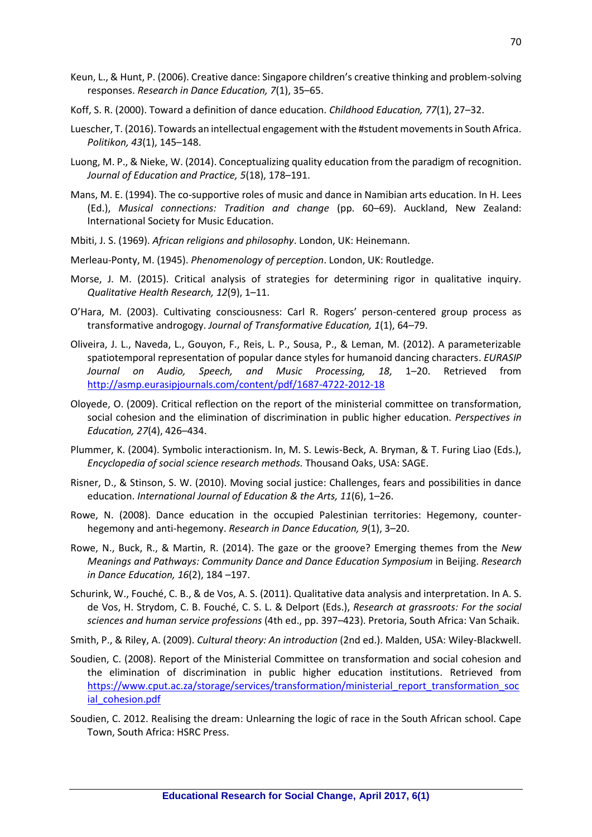- Keun, L., & Hunt, P. (2006). Creative dance: Singapore children's creative thinking and problem-solving responses. *Research in Dance Education, 7*(1), 35–65.
- Koff, S. R. (2000). Toward a definition of dance education. *Childhood Education, 77*(1), 27–32.
- Luescher, T. (2016). Towards an intellectual engagement with the #student movements in South Africa. *Politikon, 43*(1), 145–148.
- Luong, M. P., & Nieke, W. (2014). Conceptualizing quality education from the paradigm of recognition. *Journal of Education and Practice, 5*(18), 178–191.
- Mans, M. E. (1994). The co-supportive roles of music and dance in Namibian arts education. In H. Lees (Ed.), *Musical connections: Tradition and change* (pp. 60–69). Auckland, New Zealand: International Society for Music Education.
- Mbiti, J. S. (1969). *African religions and philosophy*. London, UK: Heinemann.
- Merleau-Ponty, M. (1945). *Phenomenology of perception*. London, UK: Routledge.
- Morse, J. M. (2015). Critical analysis of strategies for determining rigor in qualitative inquiry. *Qualitative Health Research, 12*(9), 1–11.
- O'Hara, M. (2003). Cultivating consciousness: Carl R. Rogers' person-centered group process as transformative androgogy. *Journal of Transformative Education, 1*(1), 64–79.
- Oliveira, J. L., Naveda, L., Gouyon, F., Reis, L. P., Sousa, P., & Leman, M. (2012). A parameterizable spatiotemporal representation of popular dance styles for humanoid dancing characters. *EURASIP Journal on Audio, Speech, and Music Processing, 18,* 1–20. Retrieved from <http://asmp.eurasipjournals.com/content/pdf/1687-4722-2012-18>
- Oloyede, O. (2009). Critical reflection on the report of the ministerial committee on transformation, social cohesion and the elimination of discrimination in public higher education. *Perspectives in Education, 27*(4), 426–434.
- Plummer, K. (2004). Symbolic interactionism. In, M. S. Lewis-Beck, A. Bryman, & T. Furing Liao (Eds.), *Encyclopedia of social science research methods.* Thousand Oaks, USA: SAGE.
- Risner, D., & Stinson, S. W. (2010). Moving social justice: Challenges, fears and possibilities in dance education. *International Journal of Education & the Arts, 11*(6), 1–26.
- Rowe, N. (2008). Dance education in the occupied Palestinian territories: Hegemony, counterhegemony and anti-hegemony. *Research in Dance Education, 9*(1), 3–20.
- Rowe, N., Buck, R., & Martin, R. (2014). The gaze or the groove? Emerging themes from the *New Meanings and Pathways: Community Dance and Dance Education Symposium* in Beijing. *Research in Dance Education, 16*(2), 184 –197.
- Schurink, W., Fouché, C. B., & de Vos, A. S. (2011). Qualitative data analysis and interpretation. In A. S. de Vos, H. Strydom, C. B. Fouché, C. S. L. & Delport (Eds.), *Research at grassroots: For the social sciences and human service professions* (4th ed., pp. 397–423). Pretoria, South Africa: Van Schaik.
- Smith, P., & Riley, A. (2009). *Cultural theory: An introduction* (2nd ed.). Malden, USA: Wiley-Blackwell.
- Soudien, C. (2008). Report of the Ministerial Committee on transformation and social cohesion and the elimination of discrimination in public higher education institutions. Retrieved from [https://www.cput.ac.za/storage/services/transformation/ministerial\\_report\\_transformation\\_soc](https://www.cput.ac.za/storage/services/transformation/ministerial_report_transformation_social_cohesion.pdf) ial cohesion.pdf
- Soudien, C. 2012. Realising the dream: Unlearning the logic of race in the South African school. Cape Town, South Africa: HSRC Press.